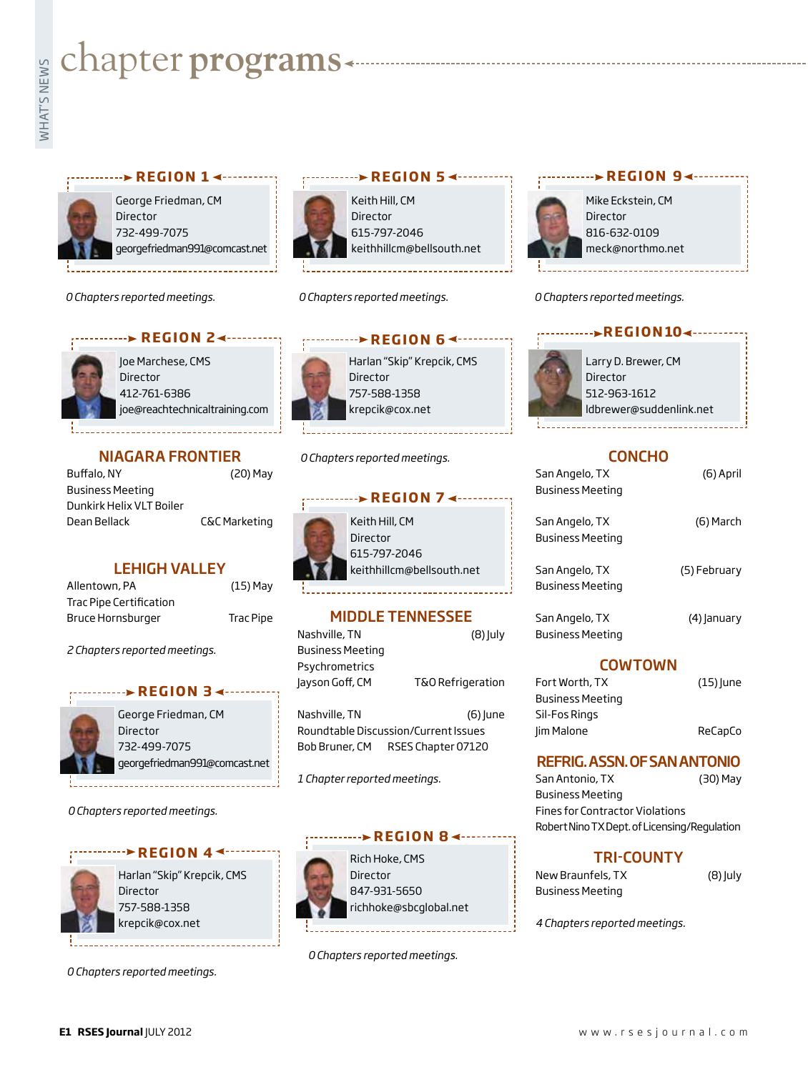# **whater programs**<br>Example:

# *r* **exection 1 < and 1 \end r**

George Friedman, CM Director 732-499-7075 georgefriedman991@comcast.net

*0 Chapters reported meetings.*





Joe Marchese, CMS **Director** 412-761-6386 joe@reachtechnicaltraining.com

# NIAGARA FRONTIER

Buffalo, NY (20) May Business Meeting Dunkirk Helix VLT Boiler Dean Bellack C&C Marketing

# LEHIGH VALLEY

Allentown, PA (15) May Trac Pipe Certification Bruce Hornsburger Trac Pipe

*2 Chapters reported meetings.*

### **REGION 34 ······**



George Friedman, CM Director 732-499-7075 georgefriedman991@comcast.net

*0 Chapters reported meetings.*

### *<u><b>P* REGION 4<sup>4</sup></u>



Harlan "Skip" Krepcik, CMS Director 757-588-1358 krepcik@cox.net

*0 Chapters reported meetings.*

# **r e g i o n 5**



*0 Chapters reported meetings.*



*0 Chapters reported meetings.*



# MIDDLE TENNESSEE

Nashville, TN (8) July Business Meeting Psychrometrics Jayson Goff, CM T&O Refrigeration

Nashville, TN (6) June Roundtable Discussion/Current Issues Bob Bruner, CM RSES Chapter 07120

*1 Chapter reported meetings.*



*0 Chapters reported meetings.*



# *.***.. ► REGION 9>**

Mike Eckstein, CM 816-632-0109 meck@northmo.net

*0 Chapters reported meetings.*



512-963-1612 ldbrewer@suddenlink.net

# **CONCHO**

| San Angelo, TX<br><b>Business Meeting</b> | (6) April    |
|-------------------------------------------|--------------|
| San Angelo, TX<br><b>Business Meeting</b> | (6) March    |
| San Angelo, TX<br><b>Business Meeting</b> | (5) February |
| San Angelo, TX<br><b>Business Meeting</b> | (4) January  |

# COWTOWN

| Fort Worth, TX          | $(15)$ June |
|-------------------------|-------------|
| <b>Business Meeting</b> |             |
| Sil-Fos Rings           |             |
| Jim Malone              | ReCapCo     |

# REFRIG. ASSN. OF SAN ANTONIO

| San Antonio, TX                              | (30) May |
|----------------------------------------------|----------|
| <b>Business Meeting</b>                      |          |
| <b>Fines for Contractor Violations</b>       |          |
| Robert Nino TX Dept. of Licensing/Regulation |          |

# TRI-COUNTY

| New Braunfels, TX       | $(8)$ July |
|-------------------------|------------|
| <b>Business Meeting</b> |            |

*4 Chapters reported meetings.*



keithhillcm@bellsouth.net